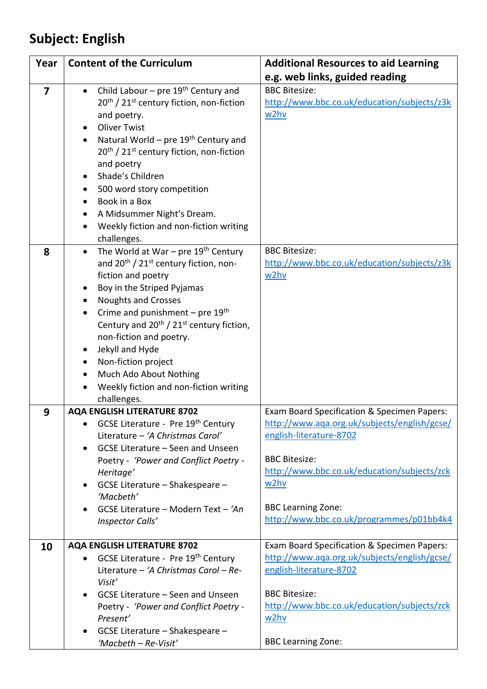## **Subject: English**

| Year           | <b>Content of the Curriculum</b>                                         | <b>Additional Resources to aid Learning</b>                                                 |
|----------------|--------------------------------------------------------------------------|---------------------------------------------------------------------------------------------|
|                |                                                                          | e.g. web links, guided reading                                                              |
| $\overline{7}$ | Child Labour – pre $19th$ Century and                                    | <b>BBC Bitesize:</b>                                                                        |
|                | 20 <sup>th</sup> / 21 <sup>st</sup> century fiction, non-fiction         | http://www.bbc.co.uk/education/subjects/z3k                                                 |
|                | and poetry.                                                              | w2hv                                                                                        |
|                | <b>Oliver Twist</b>                                                      |                                                                                             |
|                | Natural World - pre 19th Century and                                     |                                                                                             |
|                | 20 <sup>th</sup> / 21 <sup>st</sup> century fiction, non-fiction         |                                                                                             |
|                | and poetry                                                               |                                                                                             |
|                | Shade's Children                                                         |                                                                                             |
|                | 500 word story competition                                               |                                                                                             |
|                | Book in a Box                                                            |                                                                                             |
|                | A Midsummer Night's Dream.                                               |                                                                                             |
|                | Weekly fiction and non-fiction writing                                   |                                                                                             |
|                | challenges.                                                              |                                                                                             |
| 8              | The World at War - pre 19th Century<br>$\bullet$                         | <b>BBC Bitesize:</b>                                                                        |
|                | and 20 <sup>th</sup> / 21 <sup>st</sup> century fiction, non-            | http://www.bbc.co.uk/education/subjects/z3k                                                 |
|                | fiction and poetry                                                       | w2hv                                                                                        |
|                | Boy in the Striped Pyjamas                                               |                                                                                             |
|                | <b>Noughts and Crosses</b>                                               |                                                                                             |
|                | Crime and punishment - pre $19th$                                        |                                                                                             |
|                | Century and 20 <sup>th</sup> / 21 <sup>st</sup> century fiction,         |                                                                                             |
|                | non-fiction and poetry.                                                  |                                                                                             |
|                | Jekyll and Hyde                                                          |                                                                                             |
|                | Non-fiction project                                                      |                                                                                             |
|                | Much Ado About Nothing                                                   |                                                                                             |
|                | Weekly fiction and non-fiction writing                                   |                                                                                             |
|                | challenges.                                                              |                                                                                             |
| 9              | <b>AQA ENGLISH LITERATURE 8702</b><br>GCSE Literature - Pre 19th Century | Exam Board Specification & Specimen Papers:<br>http://www.aqa.org.uk/subjects/english/gcse/ |
|                | ٠<br>Literature - 'A Christmas Carol'                                    | english-literature-8702                                                                     |
|                | GCSE Literature - Seen and Unseen                                        |                                                                                             |
|                | Poetry - 'Power and Conflict Poetry -                                    | <b>BBC Bitesize:</b>                                                                        |
|                | Heritage'                                                                | http://www.bbc.co.uk/education/subjects/zck                                                 |
|                | GCSE Literature - Shakespeare -                                          | w2hv                                                                                        |
|                | 'Macbeth'                                                                |                                                                                             |
|                | GCSE Literature - Modern Text - 'An                                      | <b>BBC Learning Zone:</b>                                                                   |
|                | Inspector Calls'                                                         | http://www.bbc.co.uk/programmes/p01bb4k4                                                    |
|                |                                                                          |                                                                                             |
| 10             | <b>AQA ENGLISH LITERATURE 8702</b>                                       | Exam Board Specification & Specimen Papers:                                                 |
|                | GCSE Literature - Pre 19th Century                                       | http://www.aqa.org.uk/subjects/english/gcse/                                                |
|                | Literature - 'A Christmas Carol - Re-<br>Visit'                          | english-literature-8702                                                                     |
|                | GCSE Literature - Seen and Unseen                                        | <b>BBC Bitesize:</b>                                                                        |
|                | Poetry - 'Power and Conflict Poetry -                                    | http://www.bbc.co.uk/education/subjects/zck                                                 |
|                | Present'                                                                 | w2hv                                                                                        |
|                | GCSE Literature - Shakespeare -                                          |                                                                                             |
|                | 'Macbeth - Re-Visit'                                                     | <b>BBC Learning Zone:</b>                                                                   |